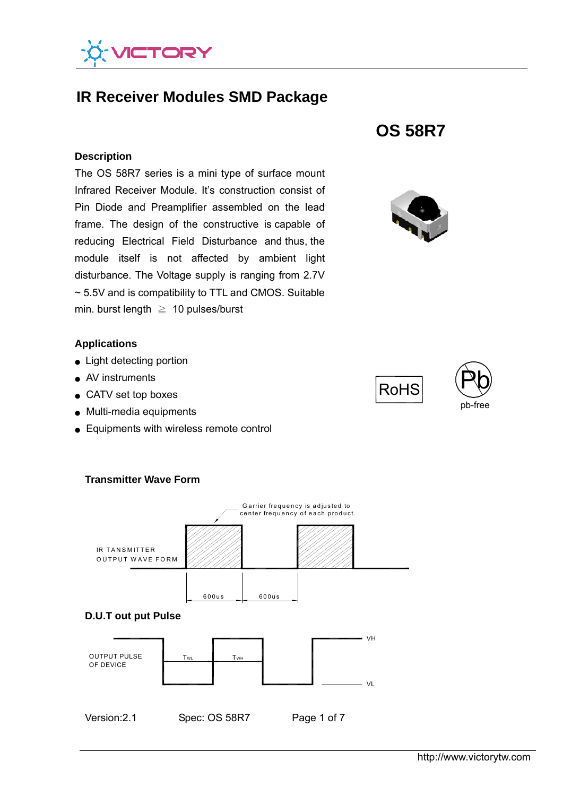

# **IR Receiver Modules SMD Package**

#### **Description**

The OS 58R7 series is a mini type of surface mount Infrared Receiver Module. It's construction consist of Pin Diode and Preamplifier assembled on the lead frame. The design of the constructive is capable of reducing Electrical Field Disturbance and thus, the module itself is not affected by ambient light disturbance. The Voltage supply is ranging from 2.7V ~ 5.5V and is compatibility to TTL and CMOS. Suitable min. burst length  $\geq 10$  pulses/burst

## **Applications**

- Light detecting portion
- AV instruments
- CATV set top boxes
- Multi-media equipments

**Transmitter Wave Form**

● Equipments with wireless remote control



# **OS 58R7**



RoHS

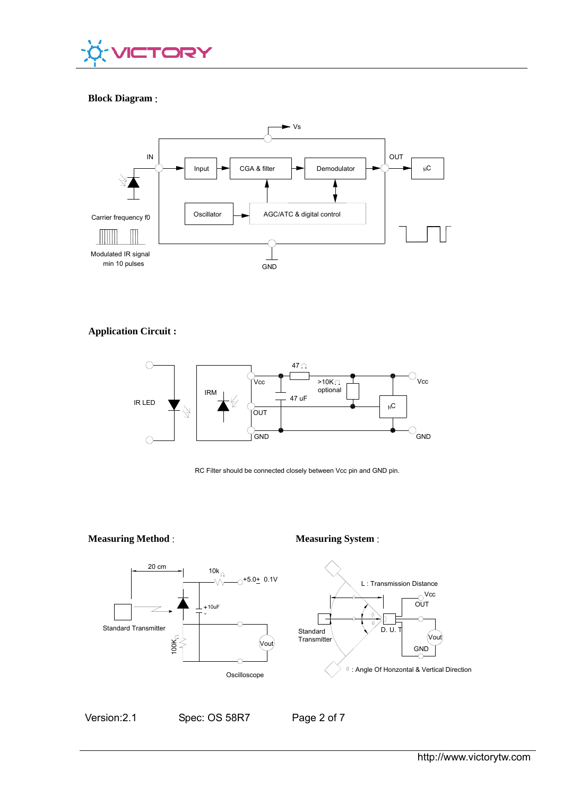

### **Block Diagram** :



#### **Application Circuit :**



RC Filter should be connected closely between Vcc pin and GND pin.

#### **Measuring Method** : **Measuring System** :





Version:2.1 Spec: OS 58R7 Page 2 of 7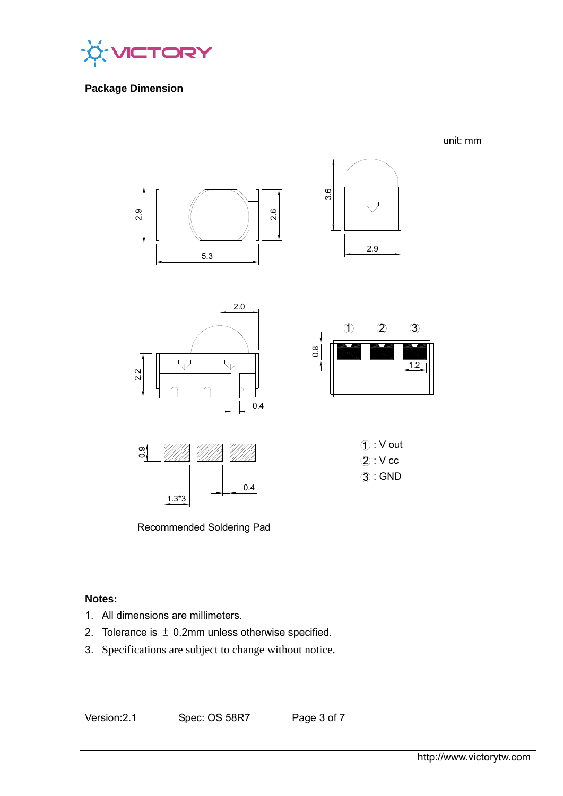

# **Package Dimension**



Recommended Soldering Pad

# **Notes:**

- 1. All dimensions are millimeters.
- 2. Tolerance is  $\pm$  0.2mm unless otherwise specified.
- 3. Specifications are subject to change without notice.

Version:2.1 Spec: OS 58R7 Page 3 of 7

unit: mm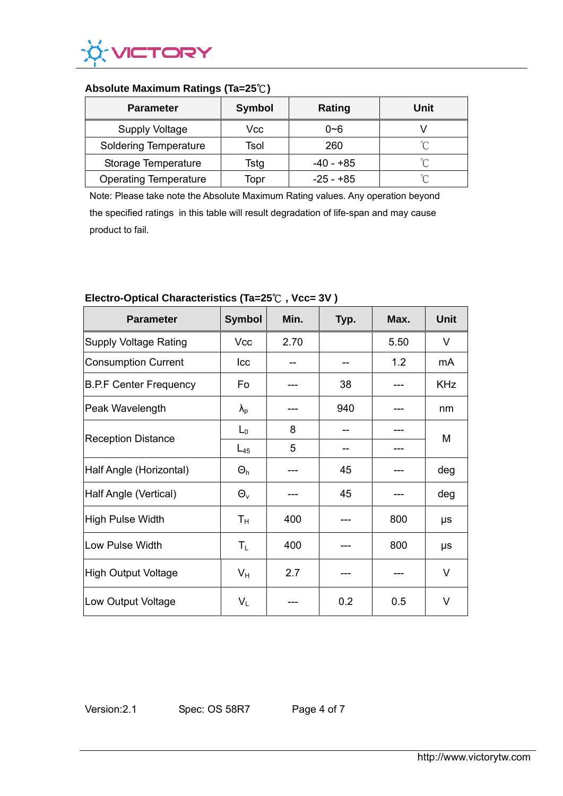

# **Absolute Maximum Ratings (Ta=25**℃**)**

| <b>Parameter</b>             | <b>Symbol</b> | Rating      | Unit   |
|------------------------------|---------------|-------------|--------|
| <b>Supply Voltage</b>        | Vcc           | $0 - 6$     |        |
| <b>Soldering Temperature</b> | Tsol          | 260         | °∩     |
| Storage Temperature          | Tstg          | $-40 - +85$ | ഀ      |
| <b>Operating Temperature</b> | Topr          | -25 - +85   | $\sim$ |

Note: Please take note the Absolute Maximum Rating values. Any operation beyond the specified ratings in this table will result degradation of life-span and may cause product to fail.

| <b>Parameter</b>              | <b>Symbol</b> | Min. | Typ. | Max. | <b>Unit</b> |
|-------------------------------|---------------|------|------|------|-------------|
| <b>Supply Voltage Rating</b>  | <b>Vcc</b>    | 2.70 |      | 5.50 | V           |
| <b>Consumption Current</b>    | Icc           |      |      | 1.2  | mA          |
| <b>B.P.F Center Frequency</b> | Fo            |      | 38   |      | <b>KHz</b>  |
| Peak Wavelength               | $\lambda_{p}$ |      | 940  |      | nm          |
| <b>Reception Distance</b>     | $L_0$         | 8    |      |      | M           |
|                               | $L_{45}$      | 5    |      |      |             |
| Half Angle (Horizontal)       | $\Theta_h$    |      | 45   |      | deg         |
| Half Angle (Vertical)         | $\Theta_{v}$  |      | 45   |      | deg         |
| <b>High Pulse Width</b>       | $T_{\rm H}$   | 400  |      | 800  | μs          |
| Low Pulse Width               | $T_{L}$       | 400  |      | 800  | μs          |
| High Output Voltage           | $V_{H}$       | 2.7  |      |      | V           |
| Low Output Voltage            | $V_{L}$       |      | 0.2  | 0.5  | $\vee$      |

# **Electro-Optical Characteristics (Ta=25**℃ **, Vcc= 3V )**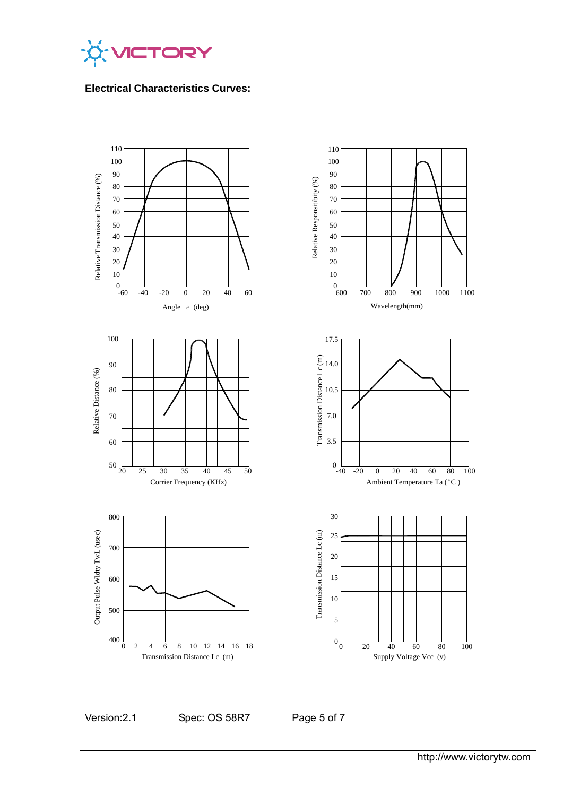

**Electrical Characteristics Curves:** 



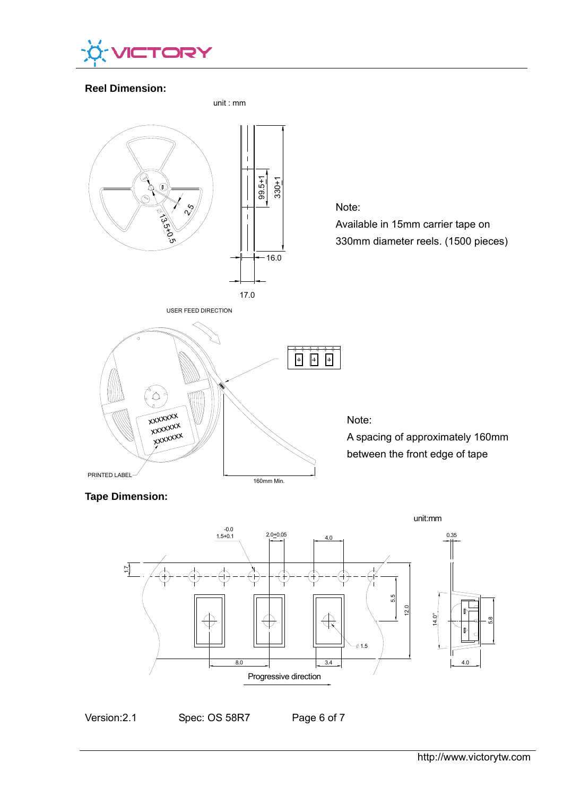

# **Reel Dimension:**